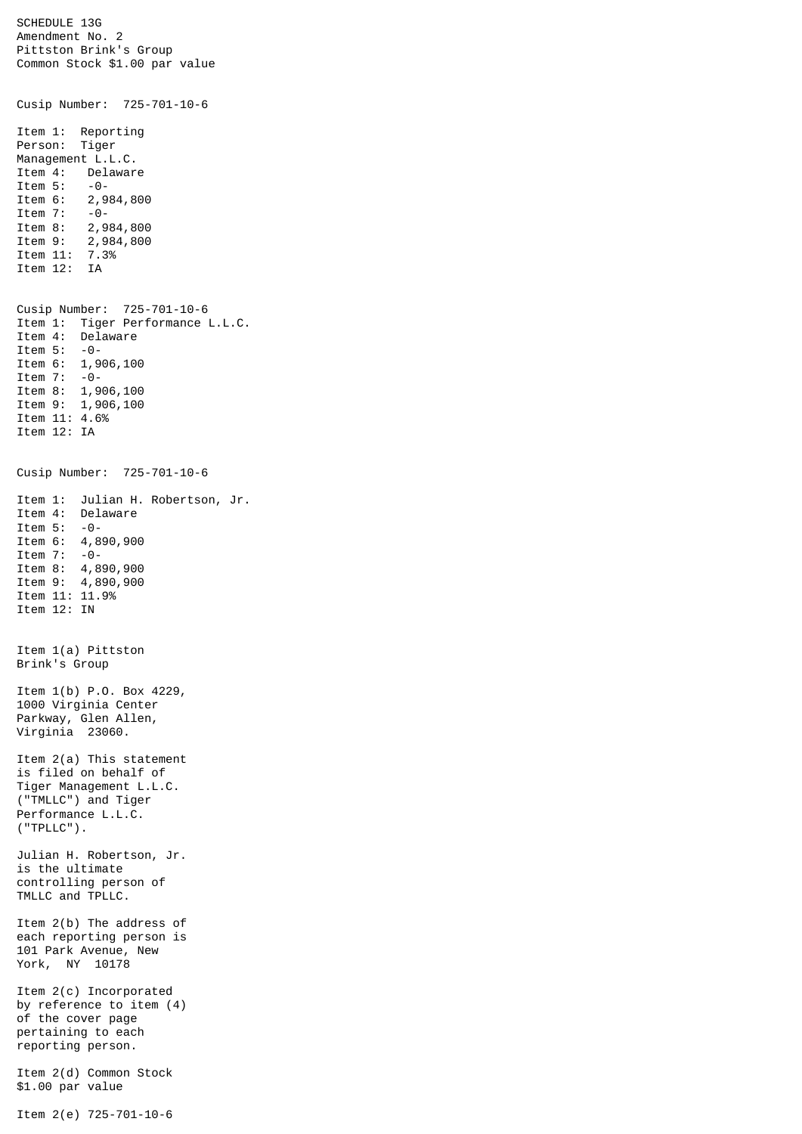SCHEDULE 13G Amendment No. 2 Pittston Brink's Group Common Stock \$1.00 par value Cusip Number: 725-701-10-6 Item 1: Reporting Person: Tiger Management L.L.C. Item 4: Delaware Item 5: -0-<br>Item 6: 2,9 2,984,800 Item 7: -0-<br>Item 8: 2,9 Item 8: 2,984,800<br>Item 9: 2,984,800 2,984,800<br>7.3% Item 11: Item 12: IA Cusip Number: 725-701-10-6 Item 1: Tiger Performance L.L.C. Item 4: Delaware Item 5: -0- Item 6: 1,906,100 Item 7: -0- Item 8: 1,906,100 Item 9: 1,906,100 Item 11: 4.6% Item 12: IA Cusip Number: 725-701-10-6 Item 1: Julian H. Robertson, Jr. Delaware Item 5: -0- Item 6: 4,890,900<br>Item 7: -0- $Item 7:$ Item 8: 4,890,900 Item 9: 4,890,900 Item 11: 11.9% Item 12: IN Item 1(a) Pittston Brink's Group Item 1(b) P.O. Box 4229, 1000 Virginia Center Parkway, Glen Allen, Virginia 23060. Item 2(a) This statement is filed on behalf of Tiger Management L.L.C. ("TMLLC") and Tiger Performance L.L.C. ("TPLLC"). Julian H. Robertson, Jr. is the ultimate controlling person of TMLLC and TPLLC. Item 2(b) The address of each reporting person is 101 Park Avenue, New York, NY 10178 Item 2(c) Incorporated by reference to item (4) of the cover page pertaining to each reporting person. Item 2(d) Common Stock \$1.00 par value

Item 2(e) 725-701-10-6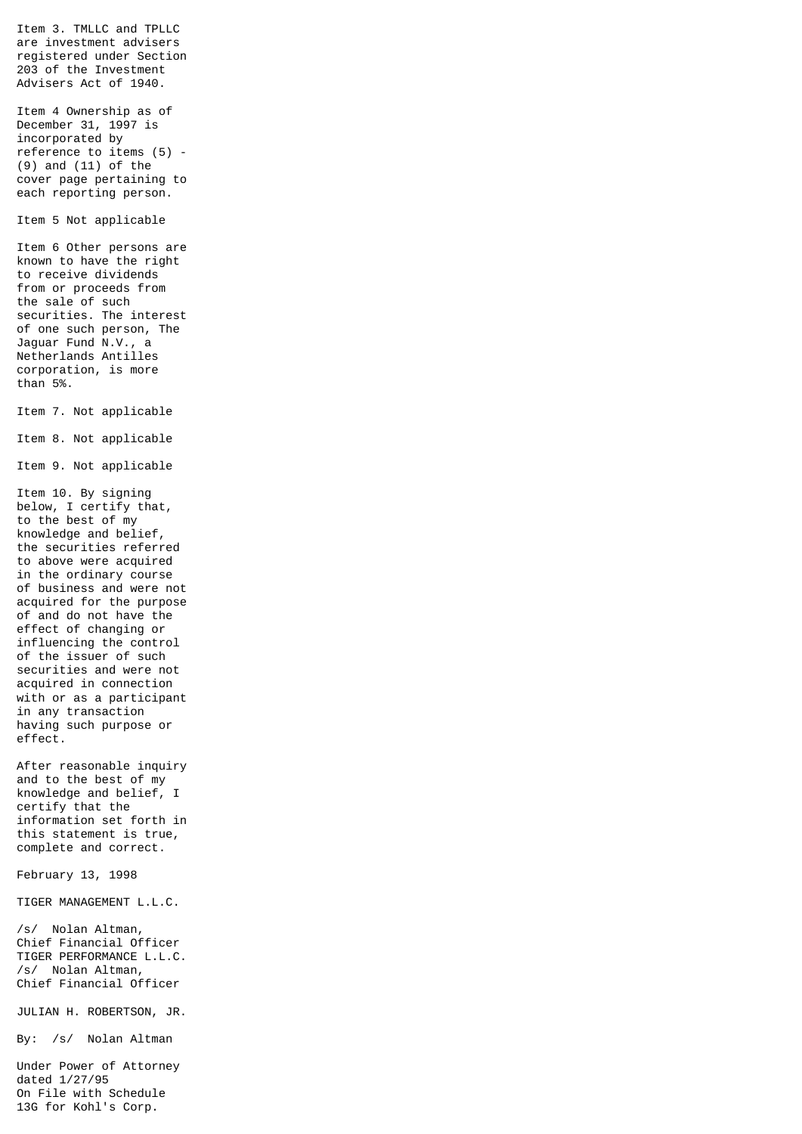Item 3. TMLLC and TPLLC are investment advisers registered under Section 203 of the Investment Advisers Act of 1940. Item 4 Ownership as of December 31, 1997 is incorporated by reference to items (5) - (9) and (11) of the cover page pertaining to each reporting person. Item 5 Not applicable Item 6 Other persons are known to have the right to receive dividends from or proceeds from the sale of such securities. The interest of one such person, The Jaguar Fund N.V., a Netherlands Antilles corporation, is more than 5%. Item 7. Not applicable Item 8. Not applicable Item 9. Not applicable Item 10. By signing below, I certify that, to the best of my knowledge and belief, the securities referred to above were acquired in the ordinary course of business and were not acquired for the purpose of and do not have the effect of changing or influencing the control of the issuer of such securities and were not acquired in connection with or as a participant in any transaction having such purpose or effect. After reasonable inquiry and to the best of my knowledge and belief, I certify that the information set forth in this statement is true, complete and correct. February 13, 1998 TIGER MANAGEMENT L.L.C. /s/ Nolan Altman, Chief Financial Officer TIGER PERFORMANCE L.L.C. /s/ Nolan Altman, Chief Financial Officer JULIAN H. ROBERTSON, JR. By: /s/ Nolan Altman Under Power of Attorney dated 1/27/95 On File with Schedule

13G for Kohl's Corp.